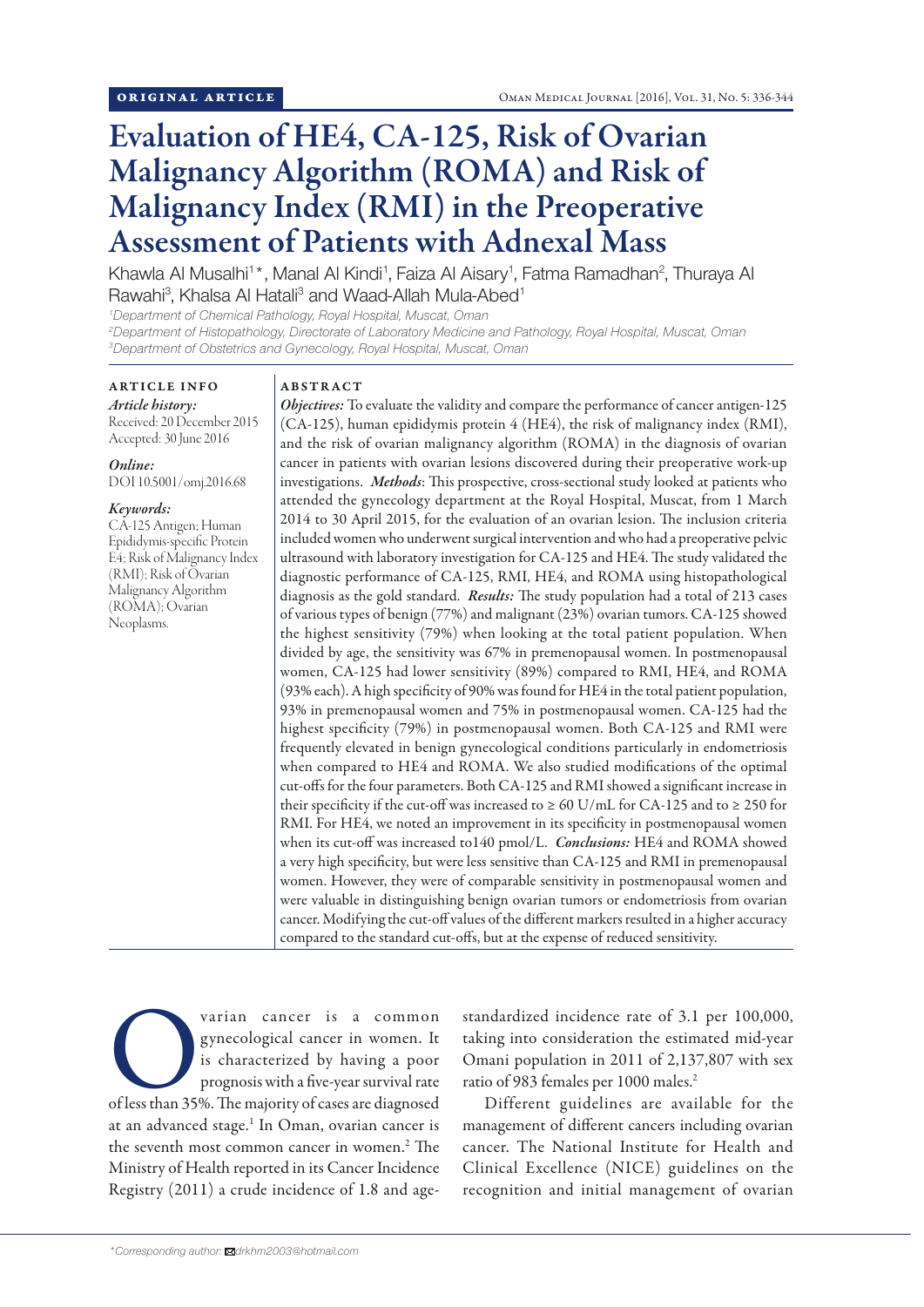# Evaluation of HE4, CA-125, Risk of Ovarian Malignancy Algorithm (ROMA) and Risk of Malignancy Index (RMI) in the Preoperative Assessment of Patients with Adnexal Mass

Khawla Al Musalhi<sup>1\*</sup>, Manal Al Kindi<sup>1</sup>, Faiza Al Aisary<sup>1</sup>, Fatma Ramadhan<sup>2</sup>, Thuraya Al Rawahi<sup>3</sup>, Khalsa Al Hatali<sup>3</sup> and Waad-Allah Mula-Abed<sup>1</sup>

*1 Department of Chemical Pathology, Royal Hospital, Muscat, Oman*

*2 Department of Histopathology, Directorate of Laboratory Medicine and Pathology, Royal Hospital, Muscat, Oman 3 Department of Obstetrics and Gynecology, Royal Hospital, Muscat, Oman*

## ARTICLE INFO *Article history:*

Received: 20 December 2015 Accepted: 30 June 2016

## *Online:*

DOI 10.5001/omj.2016.68

#### *Keywords:*

CA-125 Antigen; Human Epididymis-specific Protein E4; Risk of Malignancy Index (RMI); Risk of Ovarian Malignancy Algorithm (ROMA); Ovarian Neoplasms.

# ABSTRACT

*Objectives:* To evaluate the validity and compare the performance of cancer antigen-125 (CA-125), human epididymis protein 4 (HE4), the risk of malignancy index (RMI), and the risk of ovarian malignancy algorithm (ROMA) in the diagnosis of ovarian cancer in patients with ovarian lesions discovered during their preoperative work-up investigations. *Methods*: This prospective, cross-sectional study looked at patients who attended the gynecology department at the Royal Hospital, Muscat, from 1 March 2014 to 30 April 2015, for the evaluation of an ovarian lesion. The inclusion criteria included women who underwent surgical intervention and who had a preoperative pelvic ultrasound with laboratory investigation for CA-125 and HE4. The study validated the diagnostic performance of CA-125, RMI, HE4, and ROMA using histopathological diagnosis as the gold standard. *Results:* The study population had a total of 213 cases of various types of benign (77%) and malignant (23%) ovarian tumors. CA-125 showed the highest sensitivity (79%) when looking at the total patient population. When divided by age, the sensitivity was 67% in premenopausal women. In postmenopausal women, CA-125 had lower sensitivity (89%) compared to RMI, HE4, and ROMA (93% each). A high specificity of 90% was found for HE4 in the total patient population, 93% in premenopausal women and 75% in postmenopausal women. CA-125 had the highest specificity (79%) in postmenopausal women. Both CA-125 and RMI were frequently elevated in benign gynecological conditions particularly in endometriosis when compared to HE4 and ROMA. We also studied modifications of the optimal cut-offs for the four parameters. Both CA-125 and RMI showed a significant increase in their specificity if the cut-off was increased to  $\geq 60$  U/mL for CA-125 and to  $\geq 250$  for RMI. For HE4, we noted an improvement in its specificity in postmenopausal women when its cut-off was increased to140 pmol/L. *Conclusions:* HE4 and ROMA showed a very high specificity, but were less sensitive than CA-125 and RMI in premenopausal women. However, they were of comparable sensitivity in postmenopausal women and were valuable in distinguishing benign ovarian tumors or endometriosis from ovarian cancer. Modifying the cut-off values of the different markers resulted in a higher accuracy compared to the standard cut-offs, but at the expense of reduced sensitivity.

Varian cancer is a common<br>
gynecological cancer in women. It<br>
is characterized by having a poor<br>
prognosis with a five-year survival rate<br>
of less than 35%. The majority of cases are diagnosed gynecological cancer in women. It is characterized by having a poor prognosis with a five-year survival rate at an advanced stage.<sup>1</sup> In Oman, ovarian cancer is the seventh most common cancer in women.2 The Ministry of Health reported in its Cancer Incidence Registry (2011) a crude incidence of 1.8 and age-

standardized incidence rate of 3.1 per 100,000, taking into consideration the estimated mid-year Omani population in 2011 of 2,137,807 with sex ratio of 983 females per 1000 males.2

Different guidelines are available for the management of different cancers including ovarian cancer. The National Institute for Health and Clinical Excellence (NICE) guidelines on the recognition and initial management of ovarian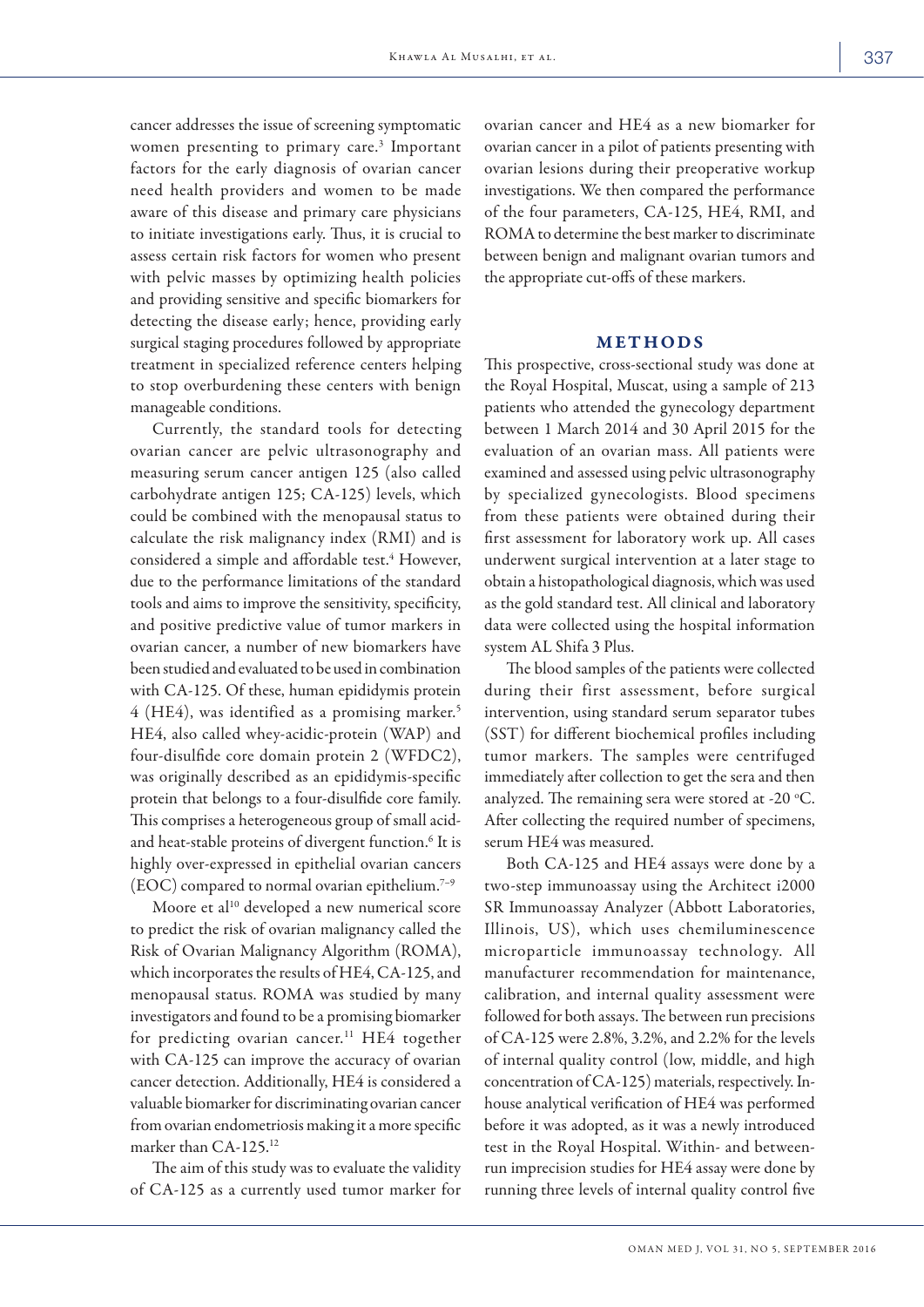cancer addresses the issue of screening symptomatic women presenting to primary care.<sup>3</sup> Important factors for the early diagnosis of ovarian cancer need health providers and women to be made aware of this disease and primary care physicians to initiate investigations early. Thus, it is crucial to assess certain risk factors for women who present with pelvic masses by optimizing health policies and providing sensitive and specific biomarkers for detecting the disease early; hence, providing early surgical staging procedures followed by appropriate treatment in specialized reference centers helping to stop overburdening these centers with benign manageable conditions.

Currently, the standard tools for detecting ovarian cancer are pelvic ultrasonography and measuring serum cancer antigen 125 (also called carbohydrate antigen 125; CA-125) levels, which could be combined with the menopausal status to calculate the risk malignancy index (RMI) and is considered a simple and affordable test.<sup>4</sup> However, due to the performance limitations of the standard tools and aims to improve the sensitivity, specificity, and positive predictive value of tumor markers in ovarian cancer, a number of new biomarkers have been studied and evaluated to be used in combination with CA-125. Of these, human epididymis protein 4 (HE4), was identified as a promising marker.<sup>5</sup> HE4, also called whey-acidic-protein (WAP) and four-disulfide core domain protein 2 (WFDC2), was originally described as an epididymis-specific protein that belongs to a four-disulfide core family. This comprises a heterogeneous group of small acidand heat-stable proteins of divergent function.<sup>6</sup> It is highly over-expressed in epithelial ovarian cancers  $(EOC)$  compared to normal ovarian epithelium.<sup>7-9</sup>

Moore et al<sup>10</sup> developed a new numerical score to predict the risk of ovarian malignancy called the Risk of Ovarian Malignancy Algorithm (ROMA), which incorporates the results of HE4, CA-125, and menopausal status. ROMA was studied by many investigators and found to be a promising biomarker for predicting ovarian cancer.<sup>11</sup> HE4 together with CA-125 can improve the accuracy of ovarian cancer detection. Additionally, HE4 is considered a valuable biomarker for discriminating ovarian cancer from ovarian endometriosis making it a more specific marker than CA-125.12

The aim of this study was to evaluate the validity of CA-125 as a currently used tumor marker for

ovarian cancer and HE4 as a new biomarker for ovarian cancer in a pilot of patients presenting with ovarian lesions during their preoperative workup investigations. We then compared the performance of the four parameters, CA-125, HE4, RMI, and ROMA to determine the best marker to discriminate between benign and malignant ovarian tumors and the appropriate cut-offs of these markers.

#### METHODS

This prospective, cross-sectional study was done at the Royal Hospital, Muscat, using a sample of 213 patients who attended the gynecology department between 1 March 2014 and 30 April 2015 for the evaluation of an ovarian mass. All patients were examined and assessed using pelvic ultrasonography by specialized gynecologists. Blood specimens from these patients were obtained during their first assessment for laboratory work up. All cases underwent surgical intervention at a later stage to obtain a histopathological diagnosis, which was used as the gold standard test. All clinical and laboratory data were collected using the hospital information system AL Shifa 3 Plus.

The blood samples of the patients were collected during their first assessment, before surgical intervention, using standard serum separator tubes (SST) for different biochemical profiles including tumor markers. The samples were centrifuged immediately after collection to get the sera and then analyzed. The remaining sera were stored at -20 $\,^{\circ}$ C. After collecting the required number of specimens, serum HE4 was measured.

Both CA-125 and HE4 assays were done by a two-step immunoassay using the Architect i2000 SR Immunoassay Analyzer (Abbott Laboratories, Illinois, US), which uses chemiluminescence microparticle immunoassay technology. All manufacturer recommendation for maintenance, calibration, and internal quality assessment were followed for both assays. The between run precisions of CA-125 were 2.8%, 3.2%, and 2.2% for the levels of internal quality control (low, middle, and high concentration of CA-125) materials, respectively. Inhouse analytical verification of HE4 was performed before it was adopted, as it was a newly introduced test in the Royal Hospital. Within- and betweenrun imprecision studies for HE4 assay were done by running three levels of internal quality control five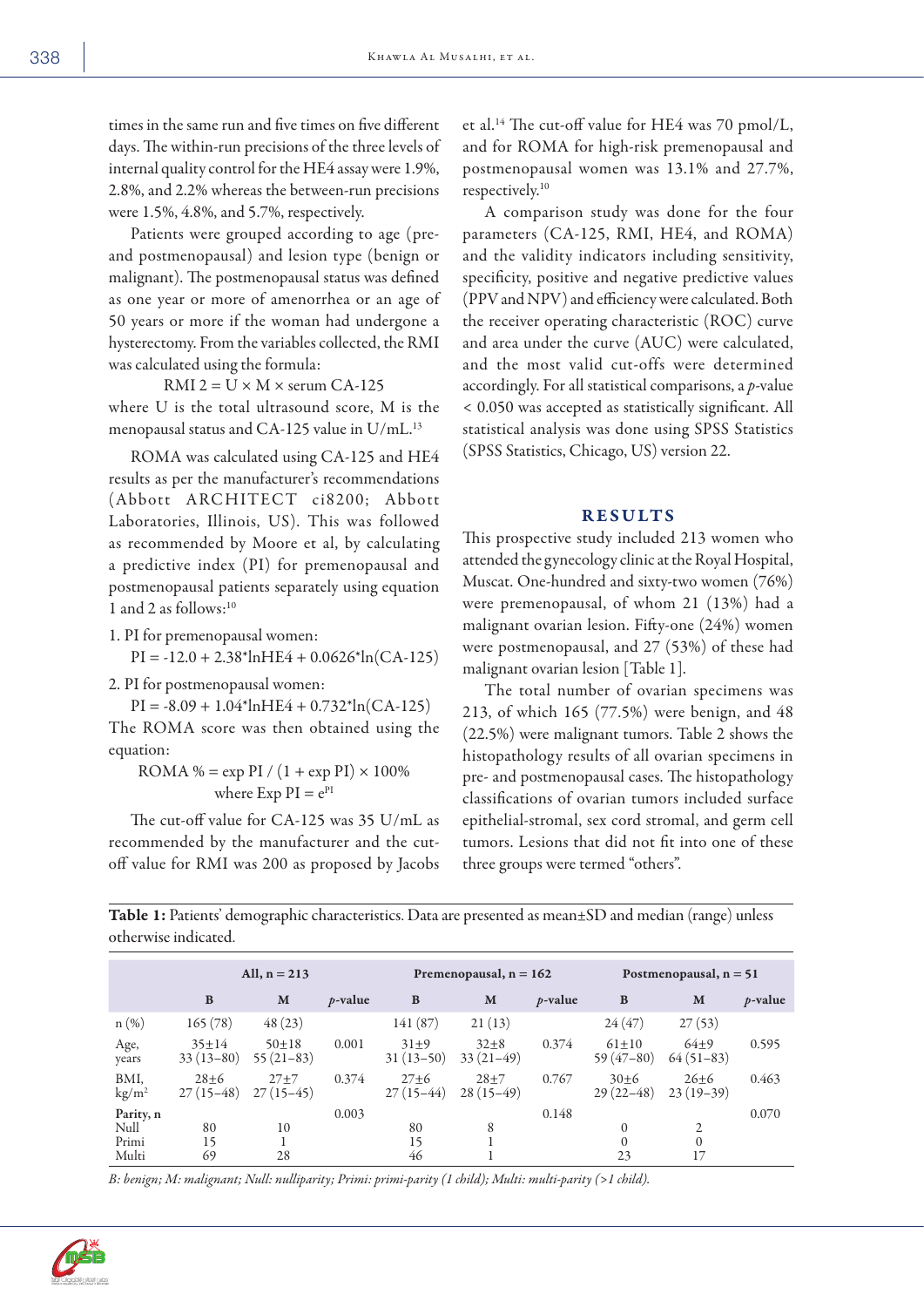times in the same run and five times on five different days. The within-run precisions of the three levels of internal quality control for the HE4 assay were 1.9%, 2.8%, and 2.2% whereas the between-run precisions were 1.5%, 4.8%, and 5.7%, respectively.

Patients were grouped according to age (preand postmenopausal) and lesion type (benign or malignant). The postmenopausal status was defined as one year or more of amenorrhea or an age of 50 years or more if the woman had undergone a hysterectomy. From the variables collected, the RMI was calculated using the formula:

RMI 2 =  $U \times M \times$  serum CA-125 where U is the total ultrasound score, M is the menopausal status and CA-125 value in U/mL.<sup>13</sup>

ROMA was calculated using CA-125 and HE4 results as per the manufacturer's recommendations (Abbott ARCHITECT ci8200; Abbott Laboratories, Illinois, US). This was followed as recommended by Moore et al, by calculating a predictive index (PI) for premenopausal and postmenopausal patients separately using equation 1 and 2 as follows:10

1. PI for premenopausal women:

$$
PI = -12.0 + 2.38^* \ln HE4 + 0.0626^* \ln(CA - 125)
$$

2. PI for postmenopausal women:

 $PI = -8.09 + 1.04*lnHE4 + 0.732*ln(CA-125)$ The ROMA score was then obtained using the equation:

ROMA % =  $\exp$  PI /  $(1 + \exp$  PI $) \times 100\%$ where Exp  $PI = e^{PI}$ 

The cut-off value for CA-125 was 35 U/mL as recommended by the manufacturer and the cutoff value for RMI was 200 as proposed by Jacobs et al.14 The cut-off value for HE4 was 70 pmol/L, and for ROMA for high-risk premenopausal and postmenopausal women was 13.1% and 27.7%, respectively.10

A comparison study was done for the four parameters (CA-125, RMI, HE4, and ROMA) and the validity indicators including sensitivity, specificity, positive and negative predictive values (PPV and NPV) and efficiency were calculated. Both the receiver operating characteristic (ROC) curve and area under the curve (AUC) were calculated, and the most valid cut-offs were determined accordingly. For all statistical comparisons, a *p*-value < 0.050 was accepted as statistically significant. All statistical analysis was done using SPSS Statistics (SPSS Statistics, Chicago, US) version 22.

#### RESULTS

This prospective study included 213 women who attended the gynecology clinic at the Royal Hospital, Muscat. One-hundred and sixty-two women (76%) were premenopausal, of whom 21 (13%) had a malignant ovarian lesion. Fifty-one (24%) women were postmenopausal, and 27 (53%) of these had malignant ovarian lesion [Table 1].

The total number of ovarian specimens was 213, of which 165 (77.5%) were benign, and 48 (22.5%) were malignant tumors. Table 2 shows the histopathology results of all ovarian specimens in pre- and postmenopausal cases. The histopathology classifications of ovarian tumors included surface epithelial-stromal, sex cord stromal, and germ cell tumors. Lesions that did not fit into one of these three groups were termed "others".

Table 1: Patients' demographic characteristics. Data are presented as mean±SD and median (range) unless otherwise indicated.

|                                | All, $n = 213$          |                          |            | Premenopausal, $n = 162$ |                         |            | Postmenopausal, $n = 51$ |                         |            |
|--------------------------------|-------------------------|--------------------------|------------|--------------------------|-------------------------|------------|--------------------------|-------------------------|------------|
|                                | B                       | M                        | $p$ -value | B                        | M                       | $p$ -value | B                        | M                       | $p$ -value |
| $n(\%)$                        | 165(78)                 | 48(23)                   |            | 141(87)                  | 21(13)                  |            | 24(47)                   | 27(53)                  |            |
| Age,<br>years                  | $35+14$<br>$33(13-80)$  | $50 + 18$<br>$55(21-83)$ | 0.001      | $31\pm9$<br>$31(13-50)$  | $32 + 8$<br>$33(21-49)$ | 0.374      | $61 + 10$<br>$59(47-80)$ | $64 + 9$<br>$64(51-83)$ | 0.595      |
| BMI,<br>$\text{kg}/\text{m}^2$ | $28 + 6$<br>$27(15-48)$ | $27 + 7$<br>$27(15-45)$  | 0.374      | $27 + 6$<br>$27(15-44)$  | $28 + 7$<br>$28(15-49)$ | 0.767      | $30+6$<br>$29(22 - 48)$  | $26 + 6$<br>$23(19-39)$ | 0.463      |
| Parity, n                      |                         |                          | 0.003      |                          |                         | 0.148      |                          |                         | 0.070      |
| Null                           | 80                      | 10                       |            | 80                       | 8                       |            | $\mathbf{0}$             | $\overline{2}$          |            |
| Primi                          | 15                      |                          |            | 15                       |                         |            | $\Omega$                 | $\theta$                |            |
| Multi                          | 69                      | 28                       |            | 46                       |                         |            | 23                       | 17                      |            |

*B: benign; M: malignant; Null: nulliparity; Primi: primi-parity (1 child); Multi: multi-parity (>1 child).*

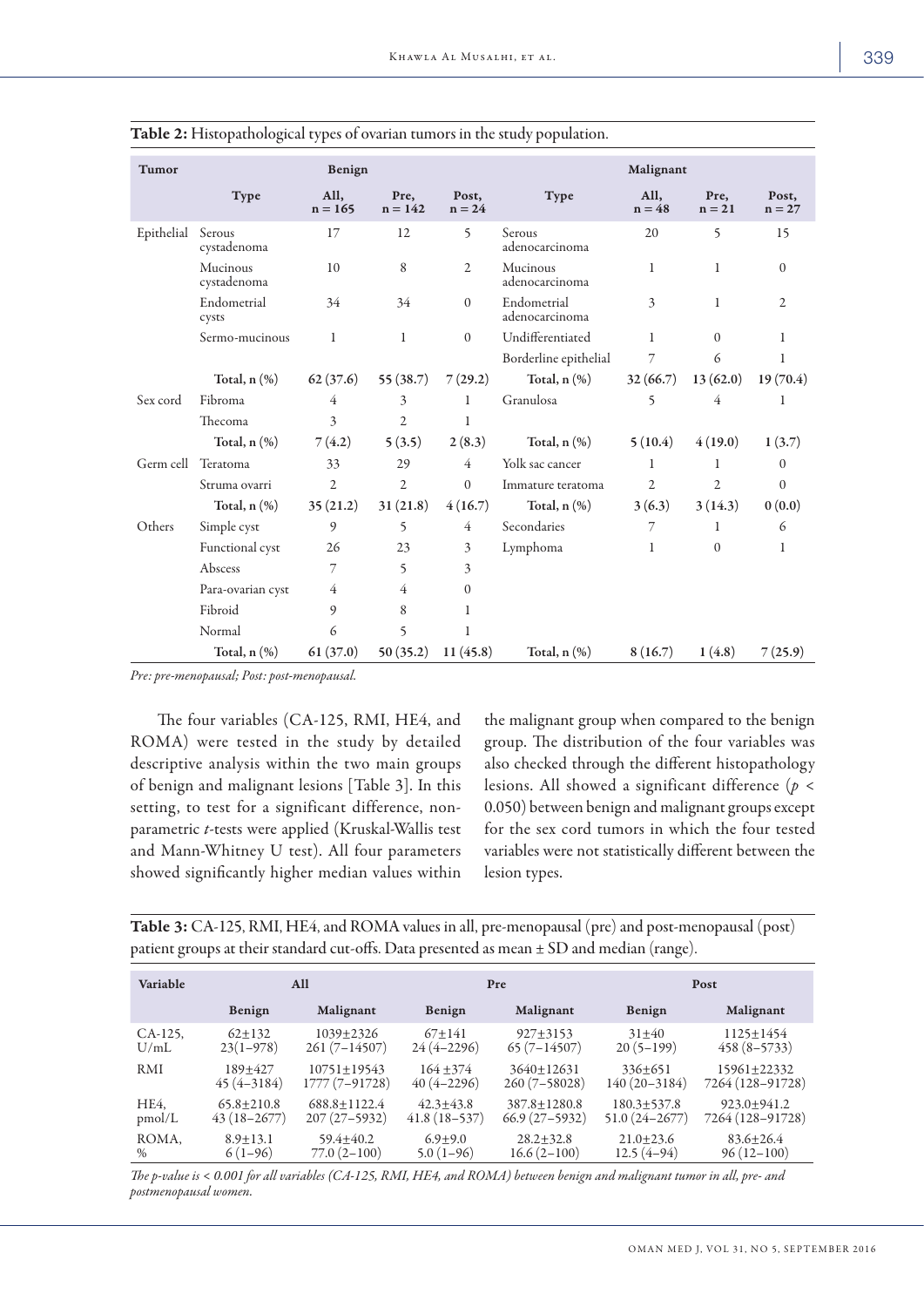| <b>Tumor</b> | Benign                  |                   |                          |                   | Malignant                     |                  |                  |                   |  |
|--------------|-------------------------|-------------------|--------------------------|-------------------|-------------------------------|------------------|------------------|-------------------|--|
|              | <b>Type</b>             | All,<br>$n = 165$ | Pre,<br>$n = 142$        | Post,<br>$n = 24$ | Type                          | All,<br>$n = 48$ | Pre,<br>$n = 21$ | Post,<br>$n = 27$ |  |
| Epithelial   | Serous<br>cystadenoma   | 17                | 12                       | 5                 | Serous<br>adenocarcinoma      | 20               | 5                | 15                |  |
|              | Mucinous<br>cystadenoma | 10                | 8                        | 2                 | Mucinous<br>adenocarcinoma    | $\mathbf{1}$     | $\mathbf{1}$     | $\mathbf{0}$      |  |
|              | Endometrial<br>cysts    | 34                | 34                       | $\Omega$          | Endometrial<br>adenocarcinoma | 3                | 1                | $\overline{2}$    |  |
|              | Sermo-mucinous          | 1                 | $\mathbf{1}$             | $\overline{0}$    | Undifferentiated              | $\mathbf{1}$     | $\Omega$         | 1                 |  |
|              |                         |                   |                          |                   | Borderline epithelial         | 7                | 6                | 1                 |  |
|              | Total, $n$ $(\%)$       | 62(37.6)          | 55(38.7)                 | 7(29.2)           | Total, $n$ $(\%)$             | 32(66.7)         | 13(62.0)         | 19(70.4)          |  |
| Sex cord     | Fibroma                 | 4                 | $\mathbf{3}$             | 1                 | Granulosa                     | 5                | 4                | 1                 |  |
|              | Thecoma                 | 3                 | $\overline{2}$           | 1                 |                               |                  |                  |                   |  |
|              | Total, $n$ $(\%)$       | 7(4.2)            | 5(3.5)                   | 2(8.3)            | Total, $n$ $(\%)$             | 5(10.4)          | 4(19.0)          | 1(3.7)            |  |
| Germ cell    | Teratoma                | 33                | 29                       | $\overline{4}$    | Yolk sac cancer               | 1                | 1                | $\mathbf{0}$      |  |
|              | Struma ovarri           | $\overline{2}$    | $\overline{2}$           | $\Omega$          | Immature teratoma             | $\overline{2}$   | $\overline{2}$   | $\Omega$          |  |
|              | Total, $n$ $(\%)$       | 35(21.2)          | 31(21.8)                 | 4(16.7)           | Total, $n$ $(\%)$             | 3(6.3)           | 3(14.3)          | 0(0.0)            |  |
| Others       | Simple cyst             | 9                 | 5                        | 4                 | Secondaries                   | 7                | 1                | 6                 |  |
|              | Functional cyst         | 26                | 23                       | 3                 | Lymphoma                      | $\mathbf{1}$     | $\Omega$         | 1                 |  |
|              | Abscess                 | 7                 | $\overline{\phantom{0}}$ | 3                 |                               |                  |                  |                   |  |
|              | Para-ovarian cyst       | 4                 | $\overline{4}$           | $\mathbf{0}$      |                               |                  |                  |                   |  |
|              | Fibroid                 | 9                 | 8                        | 1                 |                               |                  |                  |                   |  |
|              | Normal                  | 6                 | 5                        | 1                 |                               |                  |                  |                   |  |
|              | Total, $n$ $(\%)$       | 61(37.0)          | 50(35.2)                 | 11(45.8)          | Total, $n$ $(\%)$             | 8(16.7)          | 1(4.8)           | 7(25.9)           |  |

Table 2: Histopathological types of ovarian tumors in the study population.

*Pre: pre-menopausal; Post: post-menopausal.*

 The four variables (CA-125, RMI, HE4, and ROMA) were tested in the study by detailed descriptive analysis within the two main groups of benign and malignant lesions [Table 3]. In this setting, to test for a significant difference, nonparametric *t*-tests were applied (Kruskal-Wallis test and Mann-Whitney U test). All four parameters showed significantly higher median values within the malignant group when compared to the benign group. The distribution of the four variables was also checked through the different histopathology lesions. All showed a significant difference (*p* < 0.050) between benign and malignant groups except for the sex cord tumors in which the four tested variables were not statistically different between the lesion types.

Table 3: CA-125, RMI, HE4, and ROMA values in all, pre-menopausal (pre) and post-menopausal (post) patient groups at their standard cut-offs. Data presented as mean ± SD and median (range).

| Variable   | All            |                  |                | Pre                | Post              |                  |  |
|------------|----------------|------------------|----------------|--------------------|-------------------|------------------|--|
|            | Benign         | Malignant        | Benign         | Malignant          | Benign            | Malignant        |  |
| CA-125,    | $62+132$       | $1039 + 2326$    | $67+141$       | $927 + 3153$       | $31 + 40$         | $1125 \pm 1454$  |  |
| U/mL       | $23(1-978)$    | $261(7-14507)$   | $24(4 - 2296)$ | $65(7-14507)$      | $20(5-199)$       | $458(8-5733)$    |  |
| <b>RMI</b> | $189+427$      | $10751 + 19543$  | $164 + 374$    | $3640+12631$       | $336+651$         | 15961+22332      |  |
|            | $45(4 - 3184)$ | $1777(7-91728)$  | $40(4-2296)$   | $260(7-58028)$     | $140(20-3184)$    | 7264 (128-91728) |  |
| HE4.       | $65.8 + 210.8$ | $688.8 + 1122.4$ | $42.3 + 43.8$  | $387.8 \pm 1280.8$ | $180.3 + 537.8$   | $923.0+941.2$    |  |
| pmol/L     | $43(18-2677)$  | $207(27-5932)$   | $41.8(18-537)$ | $66.9(27-5932)$    | $51.0(24 - 2677)$ | 7264 (128-91728) |  |
| ROMA,      | $8.9 + 13.1$   | $59.4 + 40.2$    | $6.9 + 9.0$    | $28.2 + 32.8$      | $21.0+23.6$       | $83.6 + 26.4$    |  |
| $\%$       | $6(1-96)$      | $77.0(2-100)$    | $5.0(1-96)$    | $16.6(2-100)$      | $12.5(4-94)$      | $96(12-100)$     |  |

*The p-value is < 0.001 for all variables (CA-125, RMI, HE4, and ROMA) between benign and malignant tumor in all, pre- and postmenopausal women.*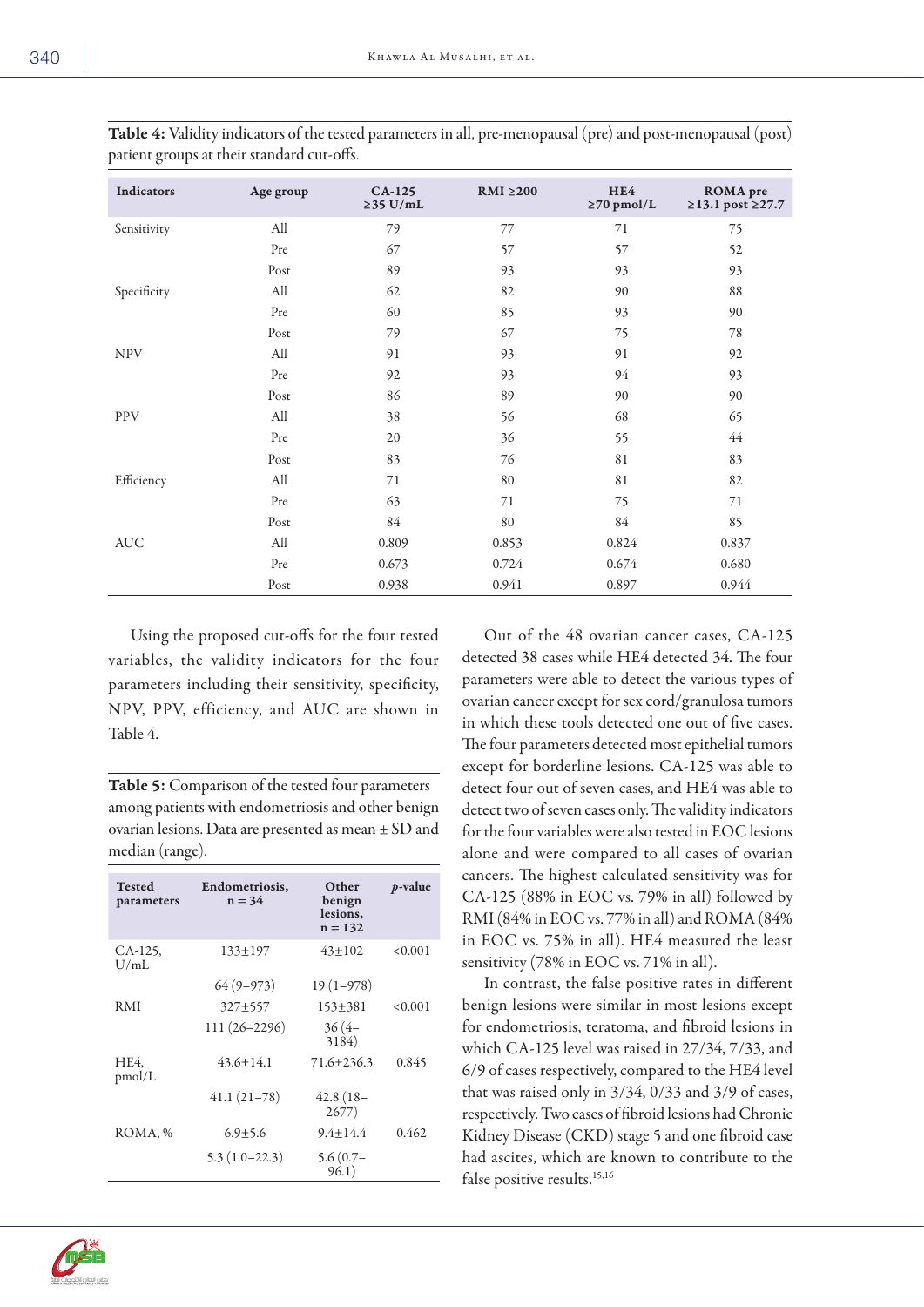| <b>STATE</b><br>I<br>۰.<br>M. | ۰. |
|-------------------------------|----|
|-------------------------------|----|

| Indicators  | Age group | $CA-125$<br>$\geq$ 35 U/mL | $RMI \geq 200$ | HE4<br>$\geq$ 70 pmol/L | <b>ROMA</b> pre<br>$≥13.1$ post $≥27.7$ |
|-------------|-----------|----------------------------|----------------|-------------------------|-----------------------------------------|
| Sensitivity | All       | 79                         | 77             | 71                      | 75                                      |
|             | Pre       | 67                         | 57             | 57                      | 52                                      |
|             | Post      | 89                         | 93             | 93                      | 93                                      |
| Specificity | All       | 62                         | 82             | 90                      | 88                                      |
|             | Pre       | 60                         | 85             | 93                      | 90                                      |
|             | Post      | 79                         | 67             | 75                      | 78                                      |
| <b>NPV</b>  | All       | 91                         | 93             | 91                      | 92                                      |
|             | Pre       | 92                         | 93             | 94                      | 93                                      |
|             | Post      | 86                         | 89             | 90                      | 90                                      |
| <b>PPV</b>  | All       | 38                         | 56             | 68                      | 65                                      |
|             | Pre       | 20                         | 36             | 55                      | 44                                      |
|             | Post      | 83                         | 76             | 81                      | 83                                      |
| Efficiency  | All       | 71                         | 80             | 81                      | 82                                      |
|             | Pre       | 63                         | 71             | 75                      | 71                                      |
|             | Post      | 84                         | 80             | 84                      | 85                                      |
| <b>AUC</b>  | All       | 0.809                      | 0.853          | 0.824                   | 0.837                                   |
|             | Pre       | 0.673                      | 0.724          | 0.674                   | 0.680                                   |
|             | Post      | 0.938                      | 0.941          | 0.897                   | 0.944                                   |

Table 4: Validity indicators of the tested parameters in all, pre-menopausal (pre) and post-menopausal (post) patient groups at their standard cut-offs.

Using the proposed cut-offs for the four tested variables, the validity indicators for the four parameters including their sensitivity, specificity, NPV, PPV, efficiency, and AUC are shown in Table 4.

Table 5: Comparison of the tested four parameters among patients with endometriosis and other benign ovarian lesions. Data are presented as mean ± SD and median (range).

| <b>Tested</b><br>parameters | Endometriosis,<br>$n = 34$ | Other<br>benign<br>lesions,<br>$n = 132$ | $p$ -value |
|-----------------------------|----------------------------|------------------------------------------|------------|
| CA-125,<br>U/mL             | $133+197$                  | $43+102$                                 | < 0.001    |
|                             | $64(9-973)$                | $19(1-978)$                              |            |
| R M I                       | $327+557$                  | $153 + 381$                              | < 0.001    |
|                             | $111(26 - 2296)$           | $36(4-$<br>3184)                         |            |
| HE4,<br>pmol/L              | $43.6 + 14.1$              | $71.6 + 236.3$                           | 0.845      |
|                             | $41.1(21-78)$              | $42.8(18-$<br>2677)                      |            |
| ROMA, %                     | $6.9 + 5.6$                | $9.4 + 14.4$                             | 0.462      |
|                             | $5.3(1.0-22.3)$            | $5.6(0.7 -$<br>96.1)                     |            |

Out of the 48 ovarian cancer cases, CA-125 detected 38 cases while HE4 detected 34. The four parameters were able to detect the various types of ovarian cancer except for sex cord/granulosa tumors in which these tools detected one out of five cases. The four parameters detected most epithelial tumors except for borderline lesions. CA-125 was able to detect four out of seven cases, and HE4 was able to detect two of seven cases only. The validity indicators for the four variables were also tested in EOC lesions alone and were compared to all cases of ovarian cancers. The highest calculated sensitivity was for CA-125 (88% in EOC vs. 79% in all) followed by RMI (84% in EOC vs. 77% in all) and ROMA (84% in EOC vs. 75% in all). HE4 measured the least sensitivity (78% in EOC vs. 71% in all).

In contrast, the false positive rates in different benign lesions were similar in most lesions except for endometriosis, teratoma, and fibroid lesions in which CA-125 level was raised in 27/34, 7/33, and 6/9 of cases respectively, compared to the HE4 level that was raised only in 3/34, 0/33 and 3/9 of cases, respectively. Two cases of fibroid lesions had Chronic Kidney Disease (CKD) stage 5 and one fibroid case had ascites, which are known to contribute to the false positive results.<sup>15,16</sup>

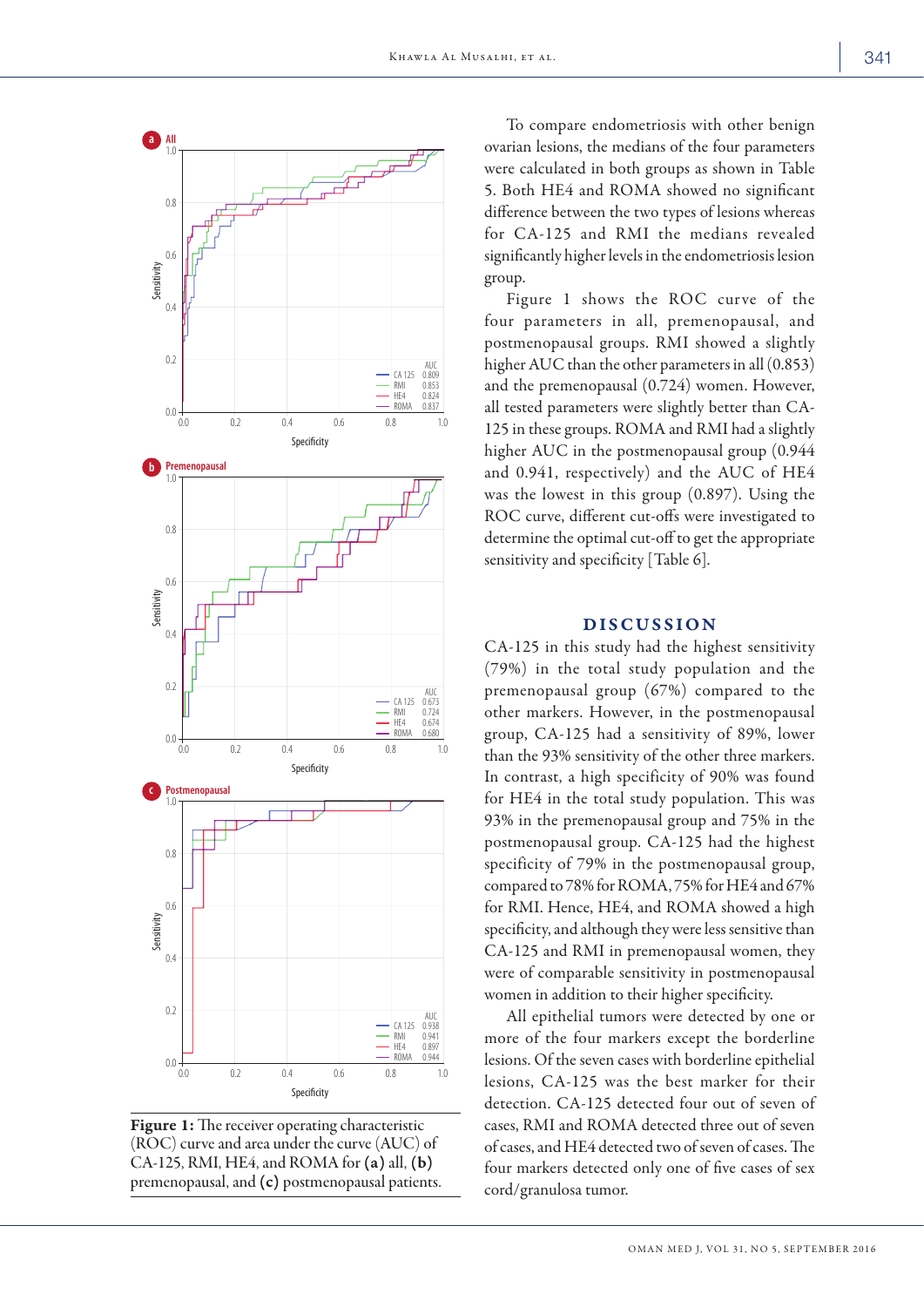

Figure 1: The receiver operating characteristic (ROC) curve and area under the curve (AUC) of CA-125, RMI, HE4, and ROMA for (a) all, (b) premenopausal, and (c) postmenopausal patients.

To compare endometriosis with other benign ovarian lesions, the medians of the four parameters were calculated in both groups as shown in Table 5. Both HE4 and ROMA showed no significant difference between the two types of lesions whereas for CA-125 and RMI the medians revealed significantly higher levels in the endometriosis lesion group.

Figure 1 shows the ROC curve of the four parameters in all, premenopausal, and postmenopausal groups. RMI showed a slightly higher AUC than the other parameters in all (0.853) and the premenopausal (0.724) women. However, all tested parameters were slightly better than CA-125 in these groups. ROMA and RMI had a slightly higher AUC in the postmenopausal group (0.944 and 0.941, respectively) and the AUC of HE4 was the lowest in this group (0.897). Using the ROC curve, different cut-offs were investigated to determine the optimal cut-off to get the appropriate sensitivity and specificity [Table 6].

# DISCUSSION

CA-125 in this study had the highest sensitivity (79%) in the total study population and the premenopausal group (67%) compared to the other markers. However, in the postmenopausal group, CA-125 had a sensitivity of 89%, lower than the 93% sensitivity of the other three markers. In contrast, a high specificity of 90% was found for HE4 in the total study population. This was 93% in the premenopausal group and 75% in the postmenopausal group. CA-125 had the highest specificity of 79% in the postmenopausal group, compared to 78% for ROMA, 75% for HE4 and 67% for RMI. Hence, HE4, and ROMA showed a high specificity, and although they were less sensitive than CA-125 and RMI in premenopausal women, they were of comparable sensitivity in postmenopausal women in addition to their higher specificity.

All epithelial tumors were detected by one or more of the four markers except the borderline lesions. Of the seven cases with borderline epithelial lesions, CA-125 was the best marker for their detection. CA-125 detected four out of seven of cases, RMI and ROMA detected three out of seven of cases, and HE4 detected two of seven of cases. The four markers detected only one of five cases of sex cord/granulosa tumor.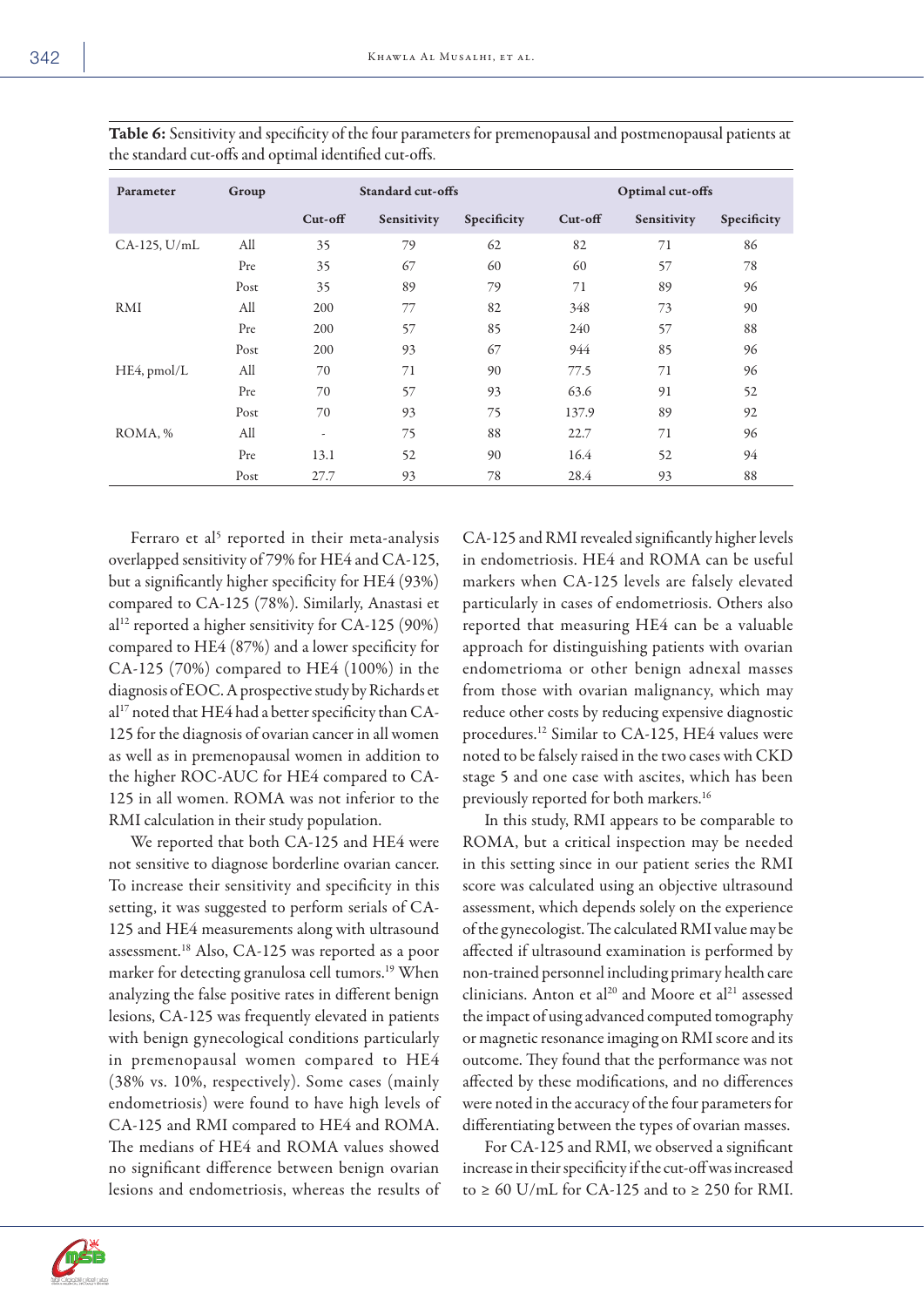| Parameter    | Group | Standard cut-offs        |             | Optimal cut-offs |         |             |             |
|--------------|-------|--------------------------|-------------|------------------|---------|-------------|-------------|
|              |       | Cut-off                  | Sensitivity | Specificity      | Cut-off | Sensitivity | Specificity |
| CA-125, U/mL | All   | 35                       | 79          | 62               | 82      | 71          | 86          |
|              | Pre   | 35                       | 67          | 60               | 60      | 57          | 78          |
|              | Post  | 35                       | 89          | 79               | 71      | 89          | 96          |
| RMI          | All   | 200                      | 77          | 82               | 348     | 73          | 90          |
|              | Pre   | 200                      | 57          | 85               | 240     | 57          | 88          |
|              | Post  | 200                      | 93          | 67               | 944     | 85          | 96          |
| HE4, pmol/L  | All   | 70                       | 71          | 90               | 77.5    | 71          | 96          |
|              | Pre   | 70                       | 57          | 93               | 63.6    | 91          | 52          |
|              | Post  | 70                       | 93          | 75               | 137.9   | 89          | 92          |
| ROMA, %      | All   | $\overline{\phantom{a}}$ | 75          | 88               | 22.7    | 71          | 96          |
|              | Pre   | 13.1                     | 52          | 90               | 16.4    | 52          | 94          |
|              | Post  | 27.7                     | 93          | 78               | 28.4    | 93          | 88          |

Table 6: Sensitivity and specificity of the four parameters for premenopausal and postmenopausal patients at the standard cut-offs and optimal identified cut-offs.

Ferraro et al<sup>5</sup> reported in their meta-analysis overlapped sensitivity of 79% for HE4 and CA-125, but a significantly higher specificity for HE4 (93%) compared to CA-125 (78%). Similarly, Anastasi et  $a^{12}$  reported a higher sensitivity for CA-125 (90%) compared to HE4 (87%) and a lower specificity for CA-125 (70%) compared to HE4 (100%) in the diagnosis of EOC. A prospective study by Richards et al<sup>17</sup> noted that HE4 had a better specificity than CA-125 for the diagnosis of ovarian cancer in all women as well as in premenopausal women in addition to the higher ROC-AUC for HE4 compared to CA-125 in all women. ROMA was not inferior to the RMI calculation in their study population.

We reported that both CA-125 and HE4 were not sensitive to diagnose borderline ovarian cancer. To increase their sensitivity and specificity in this setting, it was suggested to perform serials of CA-125 and HE4 measurements along with ultrasound assessment.18 Also, CA-125 was reported as a poor marker for detecting granulosa cell tumors.19 When analyzing the false positive rates in different benign lesions, CA-125 was frequently elevated in patients with benign gynecological conditions particularly in premenopausal women compared to HE4 (38% vs. 10%, respectively). Some cases (mainly endometriosis) were found to have high levels of CA-125 and RMI compared to HE4 and ROMA. The medians of HE4 and ROMA values showed no significant difference between benign ovarian lesions and endometriosis, whereas the results of CA-125 and RMI revealed significantly higher levels in endometriosis. HE4 and ROMA can be useful markers when CA-125 levels are falsely elevated particularly in cases of endometriosis. Others also reported that measuring HE4 can be a valuable approach for distinguishing patients with ovarian endometrioma or other benign adnexal masses from those with ovarian malignancy, which may reduce other costs by reducing expensive diagnostic procedures.12 Similar to CA-125, HE4 values were noted to be falsely raised in the two cases with CKD stage 5 and one case with ascites, which has been previously reported for both markers.<sup>16</sup>

In this study, RMI appears to be comparable to ROMA, but a critical inspection may be needed in this setting since in our patient series the RMI score was calculated using an objective ultrasound assessment, which depends solely on the experience of the gynecologist. The calculated RMI value may be affected if ultrasound examination is performed by non-trained personnel including primary health care clinicians. Anton et al<sup>20</sup> and Moore et al<sup>21</sup> assessed the impact of using advanced computed tomography or magnetic resonance imaging on RMI score and its outcome. They found that the performance was not affected by these modifications, and no differences were noted in the accuracy of the four parameters for differentiating between the types of ovarian masses.

For CA-125 and RMI, we observed a significant increase in their specificity if the cut-off was increased to  $\geq 60$  U/mL for CA-125 and to  $\geq 250$  for RMI.

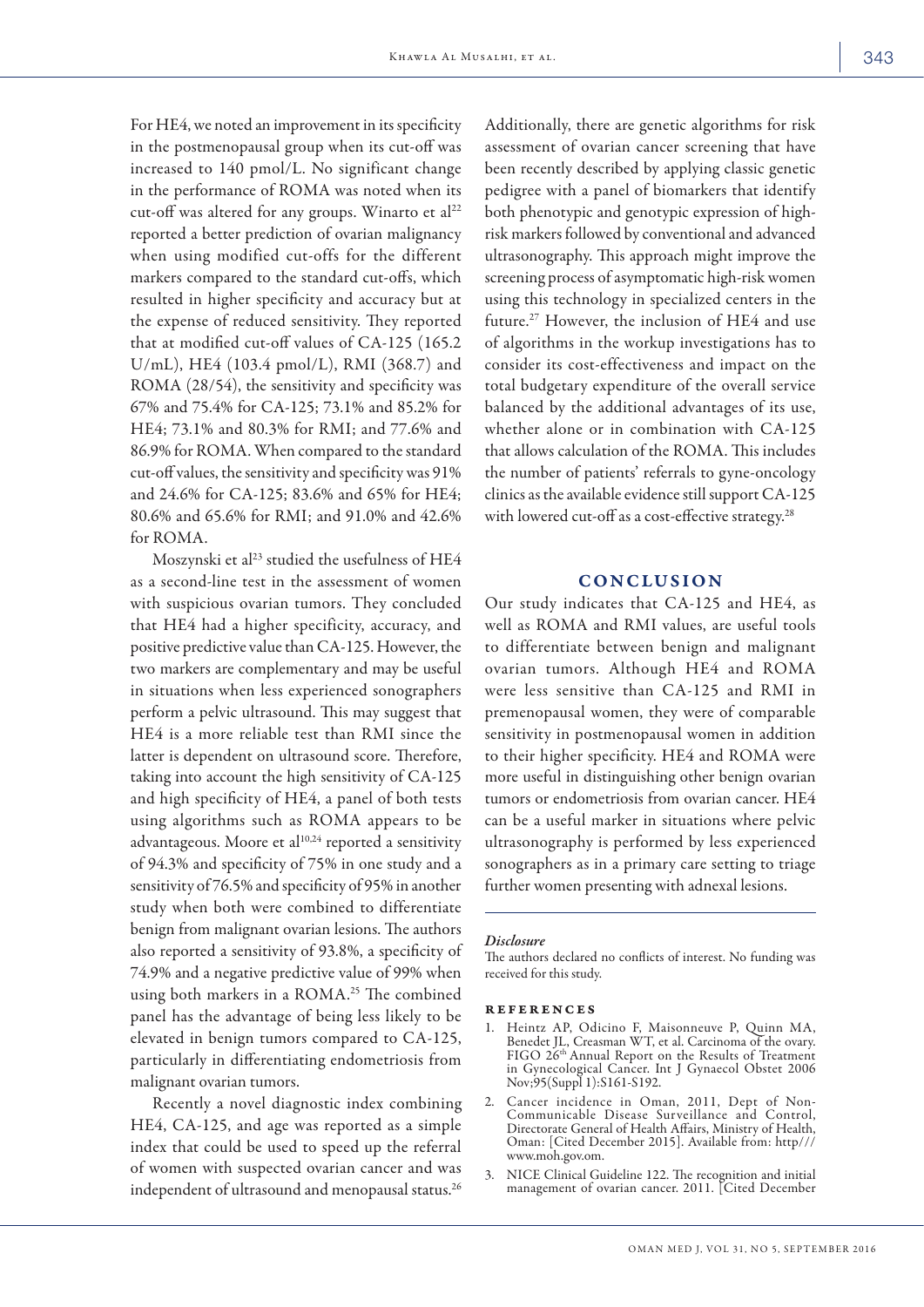For HE4, we noted an improvement in its specificity in the postmenopausal group when its cut-off was increased to 140 pmol/L. No significant change in the performance of ROMA was noted when its cut-off was altered for any groups. Winarto et al<sup>22</sup> reported a better prediction of ovarian malignancy when using modified cut-offs for the different markers compared to the standard cut-offs, which resulted in higher specificity and accuracy but at the expense of reduced sensitivity. They reported that at modified cut-off values of CA-125 (165.2 U/mL), HE4 (103.4 pmol/L), RMI (368.7) and ROMA (28/54), the sensitivity and specificity was 67% and 75.4% for CA-125; 73.1% and 85.2% for HE4; 73.1% and 80.3% for RMI; and 77.6% and 86.9% for ROMA. When compared to the standard cut-off values, the sensitivity and specificity was 91% and 24.6% for CA-125; 83.6% and 65% for HE4; 80.6% and 65.6% for RMI; and 91.0% and 42.6% for ROMA.

Moszynski et al<sup>23</sup> studied the usefulness of HE4 as a second-line test in the assessment of women with suspicious ovarian tumors. They concluded that HE4 had a higher specificity, accuracy, and positive predictive value than CA-125. However, the two markers are complementary and may be useful in situations when less experienced sonographers perform a pelvic ultrasound. This may suggest that HE4 is a more reliable test than RMI since the latter is dependent on ultrasound score. Therefore, taking into account the high sensitivity of CA-125 and high specificity of HE4, a panel of both tests using algorithms such as ROMA appears to be advantageous. Moore et al<sup>10,24</sup> reported a sensitivity of 94.3% and specificity of 75% in one study and a sensitivity of 76.5% and specificity of 95% in another study when both were combined to differentiate benign from malignant ovarian lesions. The authors also reported a sensitivity of 93.8%, a specificity of 74.9% and a negative predictive value of 99% when using both markers in a ROMA.<sup>25</sup> The combined panel has the advantage of being less likely to be elevated in benign tumors compared to CA-125, particularly in differentiating endometriosis from malignant ovarian tumors.

Recently a novel diagnostic index combining HE4, CA-125, and age was reported as a simple index that could be used to speed up the referral of women with suspected ovarian cancer and was independent of ultrasound and menopausal status.<sup>26</sup>

Additionally, there are genetic algorithms for risk assessment of ovarian cancer screening that have been recently described by applying classic genetic pedigree with a panel of biomarkers that identify both phenotypic and genotypic expression of highrisk markers followed by conventional and advanced ultrasonography. This approach might improve the screening process of asymptomatic high-risk women using this technology in specialized centers in the future.27 However, the inclusion of HE4 and use of algorithms in the workup investigations has to consider its cost-effectiveness and impact on the total budgetary expenditure of the overall service balanced by the additional advantages of its use, whether alone or in combination with CA-125 that allows calculation of the ROMA. This includes the number of patients' referrals to gyne-oncology clinics as the available evidence still support CA-125 with lowered cut-off as a cost-effective strategy.<sup>28</sup>

## CONCLUSION

Our study indicates that CA-125 and HE4, as well as ROMA and RMI values, are useful tools to differentiate between benign and malignant ovarian tumors. Although HE4 and ROMA were less sensitive than CA-125 and RMI in premenopausal women, they were of comparable sensitivity in postmenopausal women in addition to their higher specificity. HE4 and ROMA were more useful in distinguishing other benign ovarian tumors or endometriosis from ovarian cancer. HE4 can be a useful marker in situations where pelvic ultrasonography is performed by less experienced sonographers as in a primary care setting to triage further women presenting with adnexal lesions.

#### *Disclosure*

The authors declared no conflicts of interest. No funding was received for this study.

#### references

- 1. Heintz AP, Odicino F, Maisonneuve P, Quinn MA, Benedet JL, Creasman WT, et al. Carcinoma of the ovary. FIGO 26th Annual Report on the Results of Treatment in Gynecological Cancer. Int J Gynaecol Obstet 2006 Nov;95(Suppl 1):S161-S192.
- Cancer incidence in Oman, 2011, Dept of Non-Communicable Disease Surveillance and Control, Directorate General of Health Affairs, Ministry of Health, Oman: [Cited December 2015]. Available from: http/// www.moh.gov.om.
- 3. NICE Clinical Guideline 122. The recognition and initial management of ovarian cancer. 2011. [Cited December